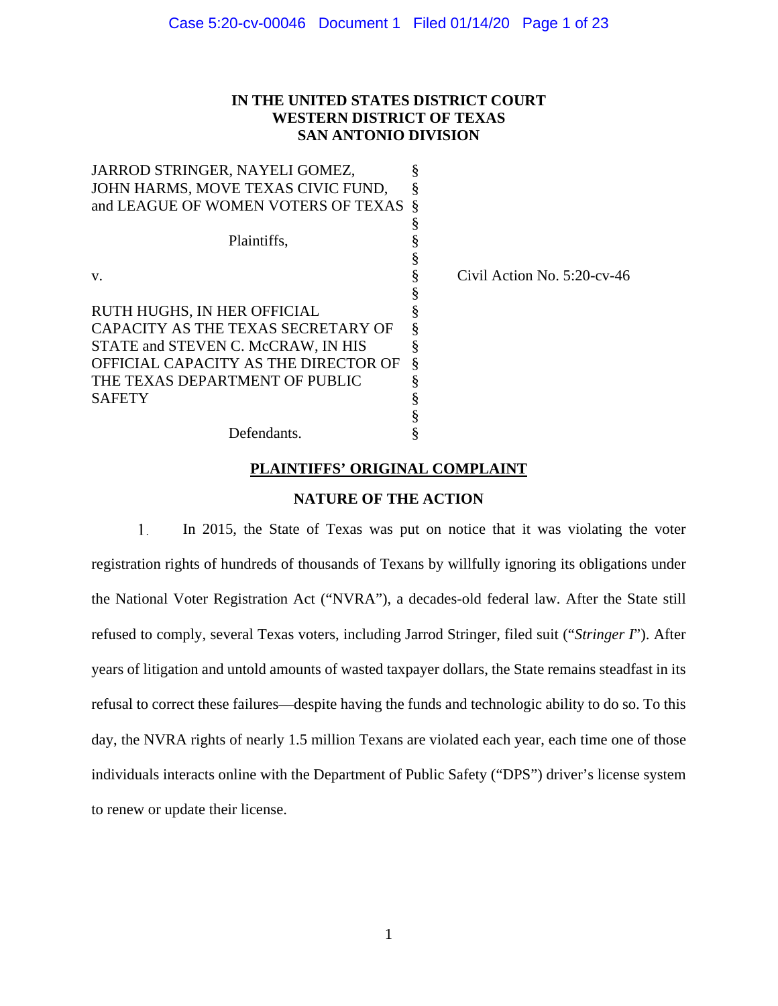# **IN THE UNITED STATES DISTRICT COURT WESTERN DISTRICT OF TEXAS SAN ANTONIO DIVISION**

| JARROD STRINGER, NAYELI GOMEZ,                                            |   |                                |
|---------------------------------------------------------------------------|---|--------------------------------|
| JOHN HARMS, MOVE TEXAS CIVIC FUND,<br>and LEAGUE OF WOMEN VOTERS OF TEXAS |   |                                |
|                                                                           |   |                                |
| Plaintiffs,                                                               |   |                                |
|                                                                           |   |                                |
| V.                                                                        |   | Civil Action No. $5:20$ -cv-46 |
|                                                                           |   |                                |
| RUTH HUGHS, IN HER OFFICIAL                                               |   |                                |
| CAPACITY AS THE TEXAS SECRETARY OF                                        |   |                                |
| STATE and STEVEN C. McCRAW, IN HIS                                        |   |                                |
| OFFICIAL CAPACITY AS THE DIRECTOR OF                                      | Ş |                                |
| THE TEXAS DEPARTMENT OF PUBLIC                                            |   |                                |
| <b>SAFETY</b>                                                             |   |                                |
|                                                                           |   |                                |
| Defendants.                                                               |   |                                |

# **PLAINTIFFS' ORIGINAL COMPLAINT**

# **NATURE OF THE ACTION**

1. In 2015, the State of Texas was put on notice that it was violating the voter registration rights of hundreds of thousands of Texans by willfully ignoring its obligations under the National Voter Registration Act ("NVRA"), a decades-old federal law. After the State still refused to comply, several Texas voters, including Jarrod Stringer, filed suit ("*Stringer I*"). After years of litigation and untold amounts of wasted taxpayer dollars, the State remains steadfast in its refusal to correct these failures—despite having the funds and technologic ability to do so. To this day, the NVRA rights of nearly 1.5 million Texans are violated each year, each time one of those individuals interacts online with the Department of Public Safety ("DPS") driver's license system to renew or update their license.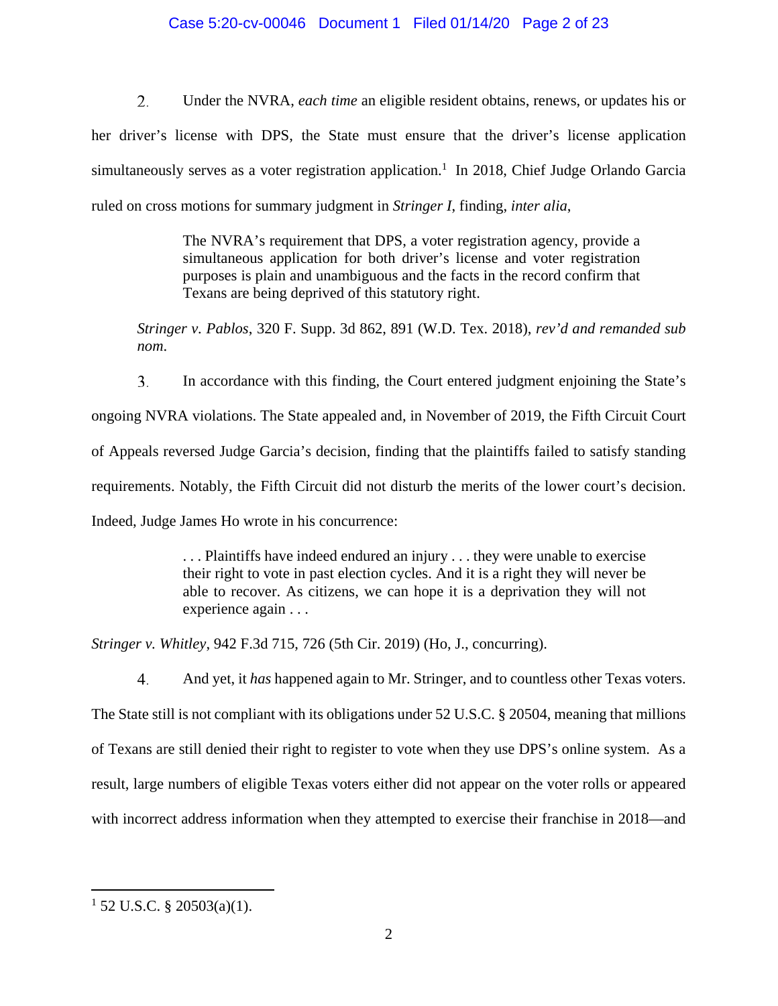# Case 5:20-cv-00046 Document 1 Filed 01/14/20 Page 2 of 23

2. Under the NVRA, *each time* an eligible resident obtains, renews, or updates his or her driver's license with DPS, the State must ensure that the driver's license application simultaneously serves as a voter registration application.<sup>1</sup> In 2018, Chief Judge Orlando Garcia ruled on cross motions for summary judgment in *Stringer I*, finding, *inter alia*,

> The NVRA's requirement that DPS, a voter registration agency, provide a simultaneous application for both driver's license and voter registration purposes is plain and unambiguous and the facts in the record confirm that Texans are being deprived of this statutory right.

*Stringer v. Pablos*, 320 F. Supp. 3d 862, 891 (W.D. Tex. 2018), *rev'd and remanded sub nom*.

 $\overline{3}$ . In accordance with this finding, the Court entered judgment enjoining the State's ongoing NVRA violations. The State appealed and, in November of 2019, the Fifth Circuit Court of Appeals reversed Judge Garcia's decision, finding that the plaintiffs failed to satisfy standing requirements. Notably, the Fifth Circuit did not disturb the merits of the lower court's decision. Indeed, Judge James Ho wrote in his concurrence:

> . . . Plaintiffs have indeed endured an injury . . . they were unable to exercise their right to vote in past election cycles. And it is a right they will never be able to recover. As citizens, we can hope it is a deprivation they will not experience again . . .

*Stringer v. Whitley*, 942 F.3d 715, 726 (5th Cir. 2019) (Ho, J., concurring).

 $4.$ And yet, it *has* happened again to Mr. Stringer, and to countless other Texas voters. The State still is not compliant with its obligations under 52 U.S.C. § 20504, meaning that millions of Texans are still denied their right to register to vote when they use DPS's online system. As a result, large numbers of eligible Texas voters either did not appear on the voter rolls or appeared with incorrect address information when they attempted to exercise their franchise in 2018—and

 $\overline{a}$ 

 $1$  52 U.S.C. § 20503(a)(1).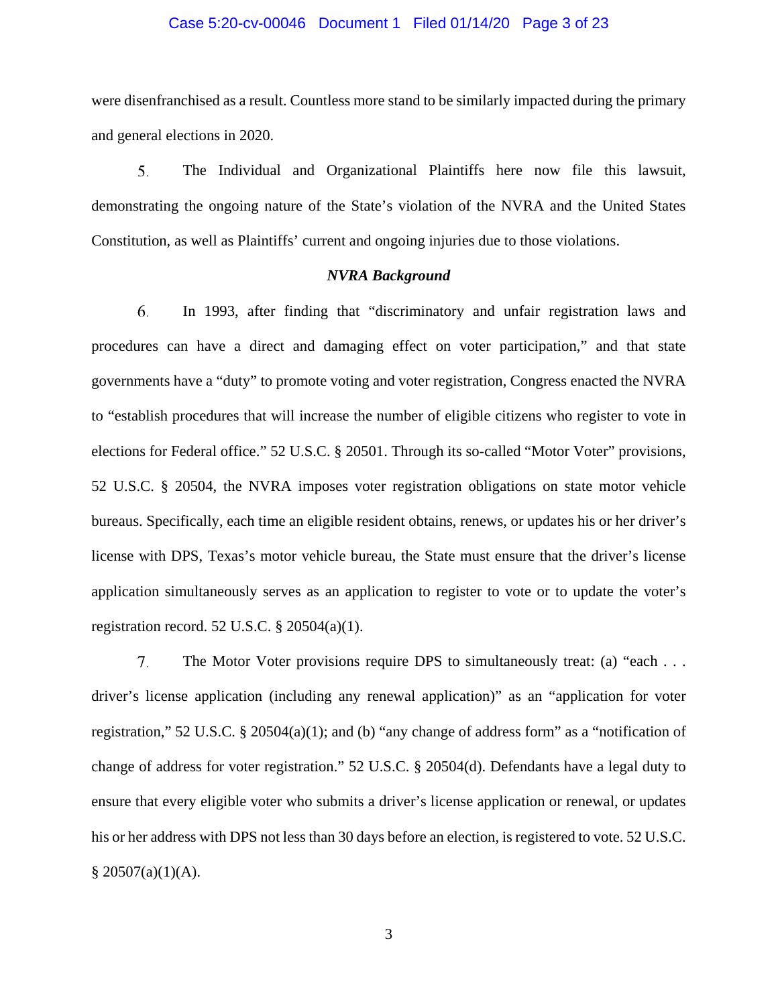#### Case 5:20-cv-00046 Document 1 Filed 01/14/20 Page 3 of 23

were disenfranchised as a result. Countless more stand to be similarly impacted during the primary and general elections in 2020.

5. The Individual and Organizational Plaintiffs here now file this lawsuit, demonstrating the ongoing nature of the State's violation of the NVRA and the United States Constitution, as well as Plaintiffs' current and ongoing injuries due to those violations.

## *NVRA Background*

6. In 1993, after finding that "discriminatory and unfair registration laws and procedures can have a direct and damaging effect on voter participation," and that state governments have a "duty" to promote voting and voter registration, Congress enacted the NVRA to "establish procedures that will increase the number of eligible citizens who register to vote in elections for Federal office." 52 U.S.C. § 20501. Through its so-called "Motor Voter" provisions, 52 U.S.C. § 20504, the NVRA imposes voter registration obligations on state motor vehicle bureaus. Specifically, each time an eligible resident obtains, renews, or updates his or her driver's license with DPS, Texas's motor vehicle bureau, the State must ensure that the driver's license application simultaneously serves as an application to register to vote or to update the voter's registration record. 52 U.S.C. § 20504(a)(1).

7. The Motor Voter provisions require DPS to simultaneously treat: (a) "each . . . driver's license application (including any renewal application)" as an "application for voter registration," 52 U.S.C. § 20504(a)(1); and (b) "any change of address form" as a "notification of change of address for voter registration." 52 U.S.C. § 20504(d). Defendants have a legal duty to ensure that every eligible voter who submits a driver's license application or renewal, or updates his or her address with DPS not less than 30 days before an election, is registered to vote. 52 U.S.C.  $§ 20507(a)(1)(A).$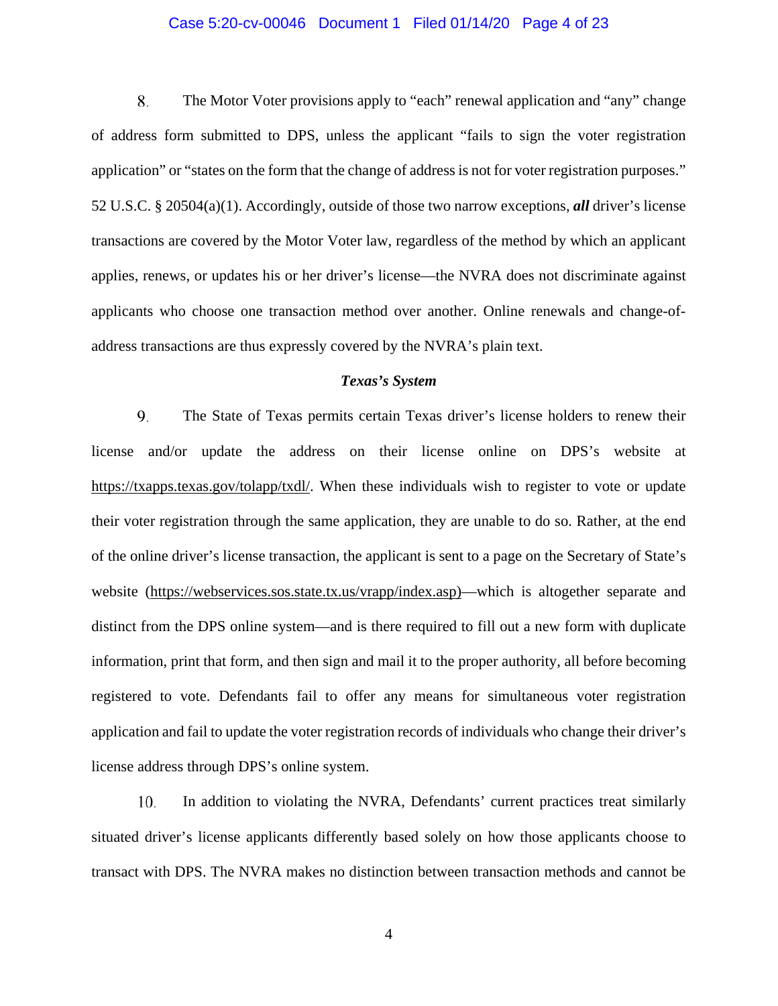### Case 5:20-cv-00046 Document 1 Filed 01/14/20 Page 4 of 23

8. The Motor Voter provisions apply to "each" renewal application and "any" change of address form submitted to DPS, unless the applicant "fails to sign the voter registration application" or "states on the form that the change of address is not for voter registration purposes." 52 U.S.C. § 20504(a)(1). Accordingly, outside of those two narrow exceptions, *all* driver's license transactions are covered by the Motor Voter law, regardless of the method by which an applicant applies, renews, or updates his or her driver's license—the NVRA does not discriminate against applicants who choose one transaction method over another. Online renewals and change-ofaddress transactions are thus expressly covered by the NVRA's plain text.

#### *Texas's System*

9. The State of Texas permits certain Texas driver's license holders to renew their license and/or update the address on their license online on DPS's website at https://txapps.texas.gov/tolapp/txdl/. When these individuals wish to register to vote or update their voter registration through the same application, they are unable to do so. Rather, at the end of the online driver's license transaction, the applicant is sent to a page on the Secretary of State's website (https://webservices.sos.state.tx.us/vrapp/index.asp)—which is altogether separate and distinct from the DPS online system—and is there required to fill out a new form with duplicate information, print that form, and then sign and mail it to the proper authority, all before becoming registered to vote. Defendants fail to offer any means for simultaneous voter registration application and fail to update the voter registration records of individuals who change their driver's license address through DPS's online system.

10. In addition to violating the NVRA, Defendants' current practices treat similarly situated driver's license applicants differently based solely on how those applicants choose to transact with DPS. The NVRA makes no distinction between transaction methods and cannot be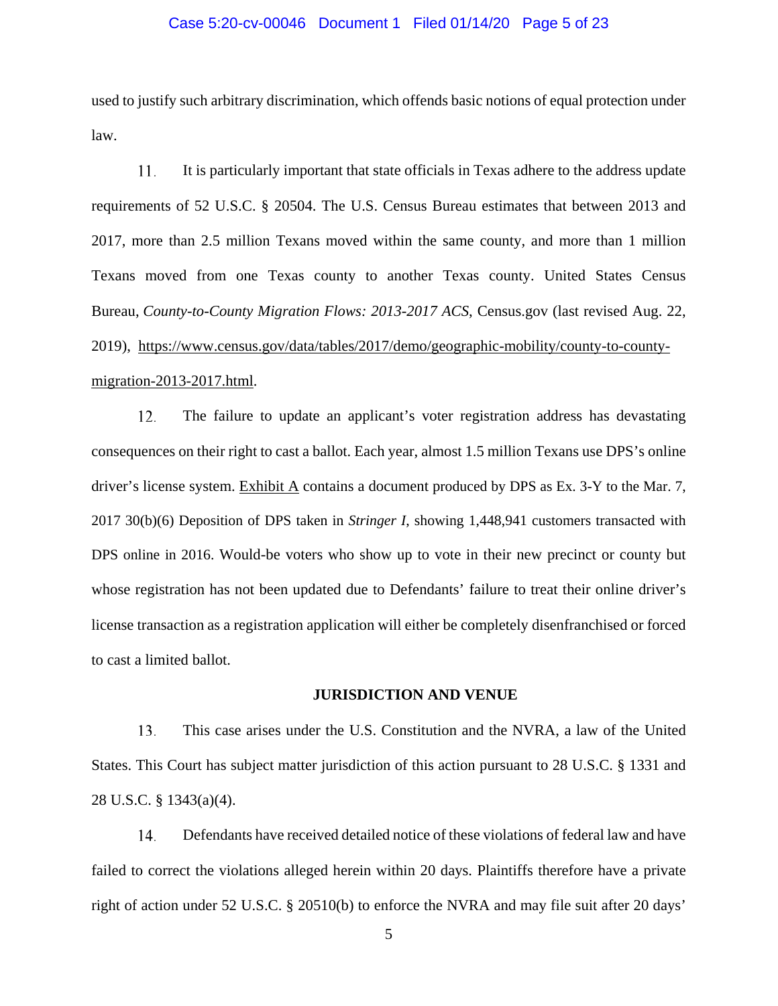### Case 5:20-cv-00046 Document 1 Filed 01/14/20 Page 5 of 23

used to justify such arbitrary discrimination, which offends basic notions of equal protection under law.

11. It is particularly important that state officials in Texas adhere to the address update requirements of 52 U.S.C. § 20504. The U.S. Census Bureau estimates that between 2013 and 2017, more than 2.5 million Texans moved within the same county, and more than 1 million Texans moved from one Texas county to another Texas county. United States Census Bureau, *County-to-County Migration Flows: 2013-2017 ACS*, Census.gov (last revised Aug. 22, 2019), https://www.census.gov/data/tables/2017/demo/geographic-mobility/county-to-countymigration-2013-2017.html.

 $12.$ The failure to update an applicant's voter registration address has devastating consequences on their right to cast a ballot. Each year, almost 1.5 million Texans use DPS's online driver's license system. Exhibit A contains a document produced by DPS as Ex. 3-Y to the Mar. 7, 2017 30(b)(6) Deposition of DPS taken in *Stringer I*, showing 1,448,941 customers transacted with DPS online in 2016. Would-be voters who show up to vote in their new precinct or county but whose registration has not been updated due to Defendants' failure to treat their online driver's license transaction as a registration application will either be completely disenfranchised or forced to cast a limited ballot.

### **JURISDICTION AND VENUE**

13. This case arises under the U.S. Constitution and the NVRA, a law of the United States. This Court has subject matter jurisdiction of this action pursuant to 28 U.S.C. § 1331 and 28 U.S.C. § 1343(a)(4).

Defendants have received detailed notice of these violations of federal law and have 14. failed to correct the violations alleged herein within 20 days. Plaintiffs therefore have a private right of action under 52 U.S.C. § 20510(b) to enforce the NVRA and may file suit after 20 days'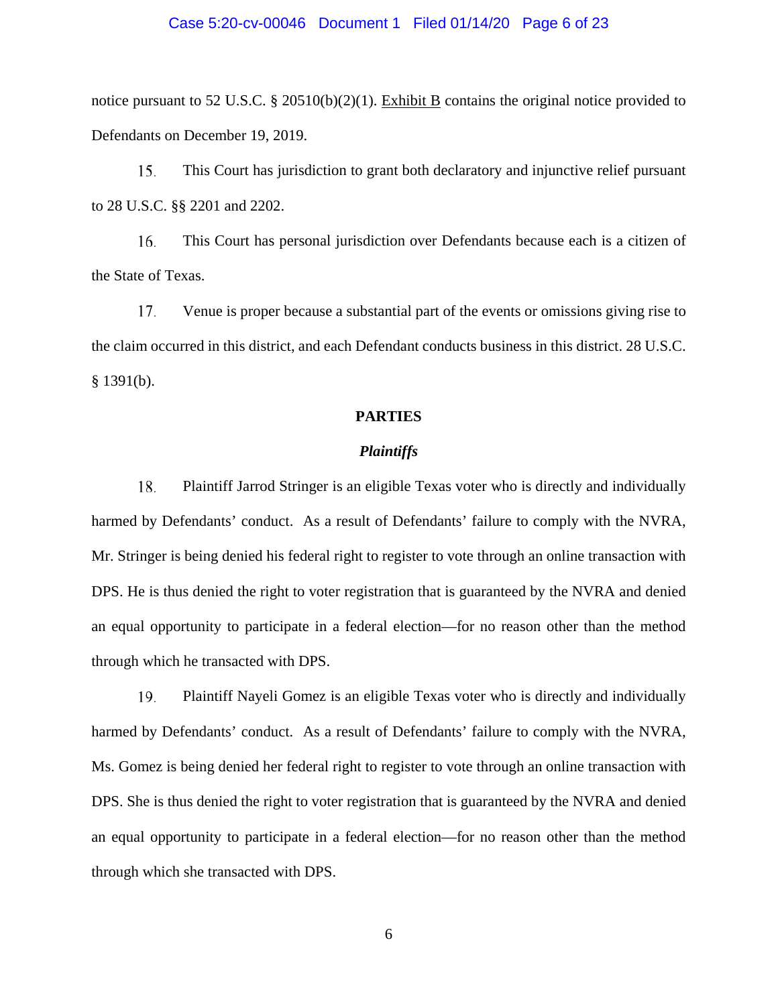#### Case 5:20-cv-00046 Document 1 Filed 01/14/20 Page 6 of 23

notice pursuant to 52 U.S.C. § 20510(b)(2)(1). Exhibit B contains the original notice provided to Defendants on December 19, 2019.

15. This Court has jurisdiction to grant both declaratory and injunctive relief pursuant to 28 U.S.C. §§ 2201 and 2202.

This Court has personal jurisdiction over Defendants because each is a citizen of 16. the State of Texas.

17. Venue is proper because a substantial part of the events or omissions giving rise to the claim occurred in this district, and each Defendant conducts business in this district. 28 U.S.C.  $§$  1391(b).

### **PARTIES**

#### *Plaintiffs*

18. Plaintiff Jarrod Stringer is an eligible Texas voter who is directly and individually harmed by Defendants' conduct. As a result of Defendants' failure to comply with the NVRA, Mr. Stringer is being denied his federal right to register to vote through an online transaction with DPS. He is thus denied the right to voter registration that is guaranteed by the NVRA and denied an equal opportunity to participate in a federal election—for no reason other than the method through which he transacted with DPS.

19. Plaintiff Nayeli Gomez is an eligible Texas voter who is directly and individually harmed by Defendants' conduct. As a result of Defendants' failure to comply with the NVRA, Ms. Gomez is being denied her federal right to register to vote through an online transaction with DPS. She is thus denied the right to voter registration that is guaranteed by the NVRA and denied an equal opportunity to participate in a federal election—for no reason other than the method through which she transacted with DPS.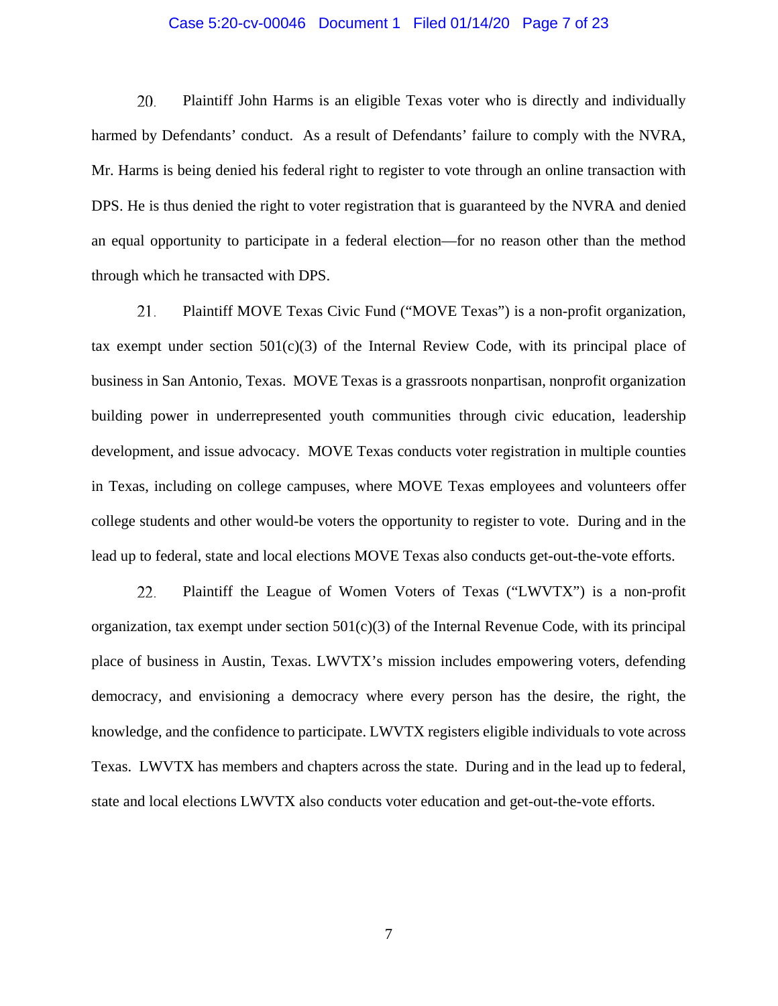### Case 5:20-cv-00046 Document 1 Filed 01/14/20 Page 7 of 23

20. Plaintiff John Harms is an eligible Texas voter who is directly and individually harmed by Defendants' conduct. As a result of Defendants' failure to comply with the NVRA, Mr. Harms is being denied his federal right to register to vote through an online transaction with DPS. He is thus denied the right to voter registration that is guaranteed by the NVRA and denied an equal opportunity to participate in a federal election—for no reason other than the method through which he transacted with DPS.

21. Plaintiff MOVE Texas Civic Fund ("MOVE Texas") is a non-profit organization, tax exempt under section  $501(c)(3)$  of the Internal Review Code, with its principal place of business in San Antonio, Texas. MOVE Texas is a grassroots nonpartisan, nonprofit organization building power in underrepresented youth communities through civic education, leadership development, and issue advocacy. MOVE Texas conducts voter registration in multiple counties in Texas, including on college campuses, where MOVE Texas employees and volunteers offer college students and other would-be voters the opportunity to register to vote. During and in the lead up to federal, state and local elections MOVE Texas also conducts get-out-the-vote efforts.

22. Plaintiff the League of Women Voters of Texas ("LWVTX") is a non-profit organization, tax exempt under section  $501(c)(3)$  of the Internal Revenue Code, with its principal place of business in Austin, Texas. LWVTX's mission includes empowering voters, defending democracy, and envisioning a democracy where every person has the desire, the right, the knowledge, and the confidence to participate. LWVTX registers eligible individuals to vote across Texas. LWVTX has members and chapters across the state. During and in the lead up to federal, state and local elections LWVTX also conducts voter education and get-out-the-vote efforts.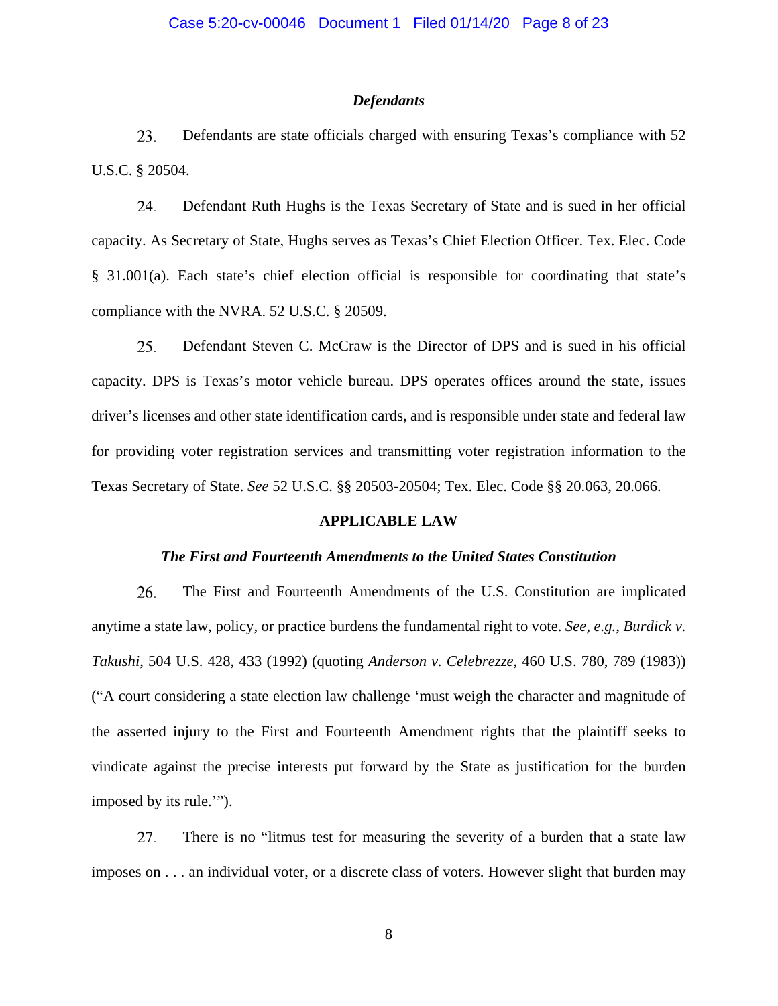### *Defendants*

23. Defendants are state officials charged with ensuring Texas's compliance with 52 U.S.C. § 20504.

24. Defendant Ruth Hughs is the Texas Secretary of State and is sued in her official capacity. As Secretary of State, Hughs serves as Texas's Chief Election Officer. Tex. Elec. Code § 31.001(a). Each state's chief election official is responsible for coordinating that state's compliance with the NVRA. 52 U.S.C. § 20509.

Defendant Steven C. McCraw is the Director of DPS and is sued in his official 25. capacity. DPS is Texas's motor vehicle bureau. DPS operates offices around the state, issues driver's licenses and other state identification cards, and is responsible under state and federal law for providing voter registration services and transmitting voter registration information to the Texas Secretary of State. *See* 52 U.S.C. §§ 20503-20504; Tex. Elec. Code §§ 20.063, 20.066.

### **APPLICABLE LAW**

#### *The First and Fourteenth Amendments to the United States Constitution*

26. The First and Fourteenth Amendments of the U.S. Constitution are implicated anytime a state law, policy, or practice burdens the fundamental right to vote. *See, e.g.*, *Burdick v. Takushi*, 504 U.S. 428, 433 (1992) (quoting *Anderson v. Celebrezze*, 460 U.S. 780, 789 (1983)) ("A court considering a state election law challenge 'must weigh the character and magnitude of the asserted injury to the First and Fourteenth Amendment rights that the plaintiff seeks to vindicate against the precise interests put forward by the State as justification for the burden imposed by its rule.'").

27. There is no "litmus test for measuring the severity of a burden that a state law imposes on . . . an individual voter, or a discrete class of voters. However slight that burden may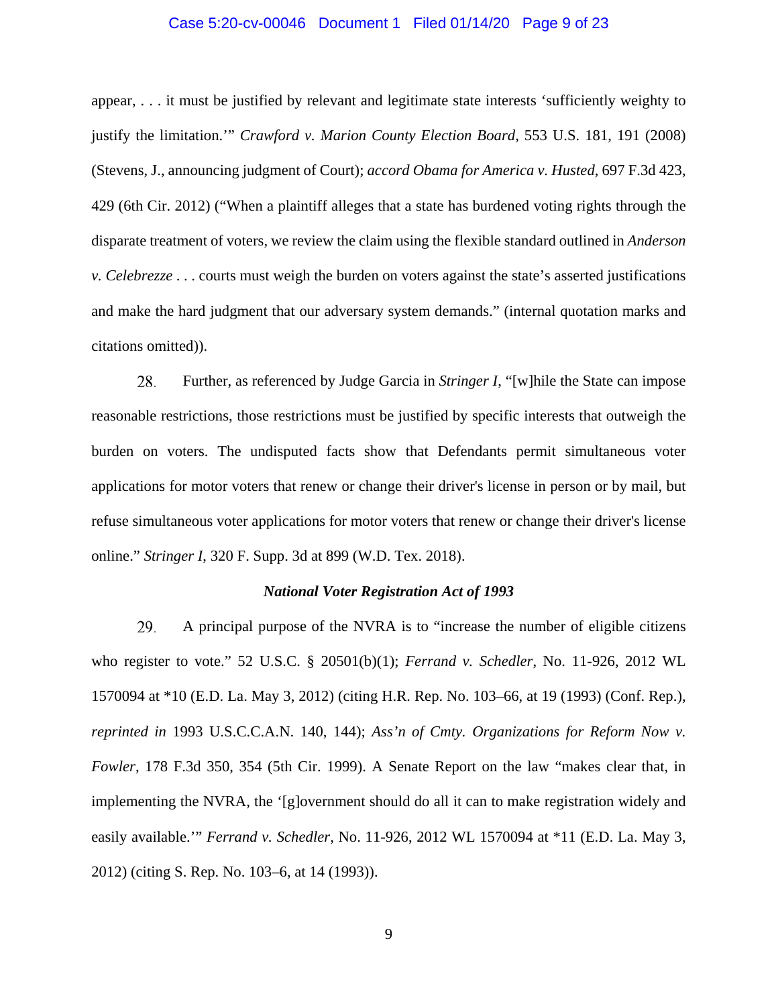### Case 5:20-cv-00046 Document 1 Filed 01/14/20 Page 9 of 23

appear, . . . it must be justified by relevant and legitimate state interests 'sufficiently weighty to justify the limitation.'" *Crawford v. Marion County Election Board*, 553 U.S. 181, 191 (2008) (Stevens, J., announcing judgment of Court); *accord Obama for America v. Husted*, 697 F.3d 423, 429 (6th Cir. 2012) ("When a plaintiff alleges that a state has burdened voting rights through the disparate treatment of voters, we review the claim using the flexible standard outlined in *Anderson v. Celebrezze* . . . courts must weigh the burden on voters against the state's asserted justifications and make the hard judgment that our adversary system demands." (internal quotation marks and citations omitted)).

28. Further, as referenced by Judge Garcia in *Stringer I*, "[w]hile the State can impose reasonable restrictions, those restrictions must be justified by specific interests that outweigh the burden on voters. The undisputed facts show that Defendants permit simultaneous voter applications for motor voters that renew or change their driver's license in person or by mail, but refuse simultaneous voter applications for motor voters that renew or change their driver's license online." *Stringer I*, 320 F. Supp. 3d at 899 (W.D. Tex. 2018).

#### *National Voter Registration Act of 1993*

29. A principal purpose of the NVRA is to "increase the number of eligible citizens who register to vote." 52 U.S.C. § 20501(b)(1); *Ferrand v. Schedler*, No. 11-926, 2012 WL 1570094 at \*10 (E.D. La. May 3, 2012) (citing H.R. Rep. No. 103–66, at 19 (1993) (Conf. Rep.), *reprinted in* 1993 U.S.C.C.A.N. 140, 144); *Ass'n of Cmty. Organizations for Reform Now v. Fowler*, 178 F.3d 350, 354 (5th Cir. 1999). A Senate Report on the law "makes clear that, in implementing the NVRA, the '[g]overnment should do all it can to make registration widely and easily available.'" *Ferrand v. Schedler*, No. 11-926, 2012 WL 1570094 at \*11 (E.D. La. May 3, 2012) (citing S. Rep. No. 103–6, at 14 (1993)).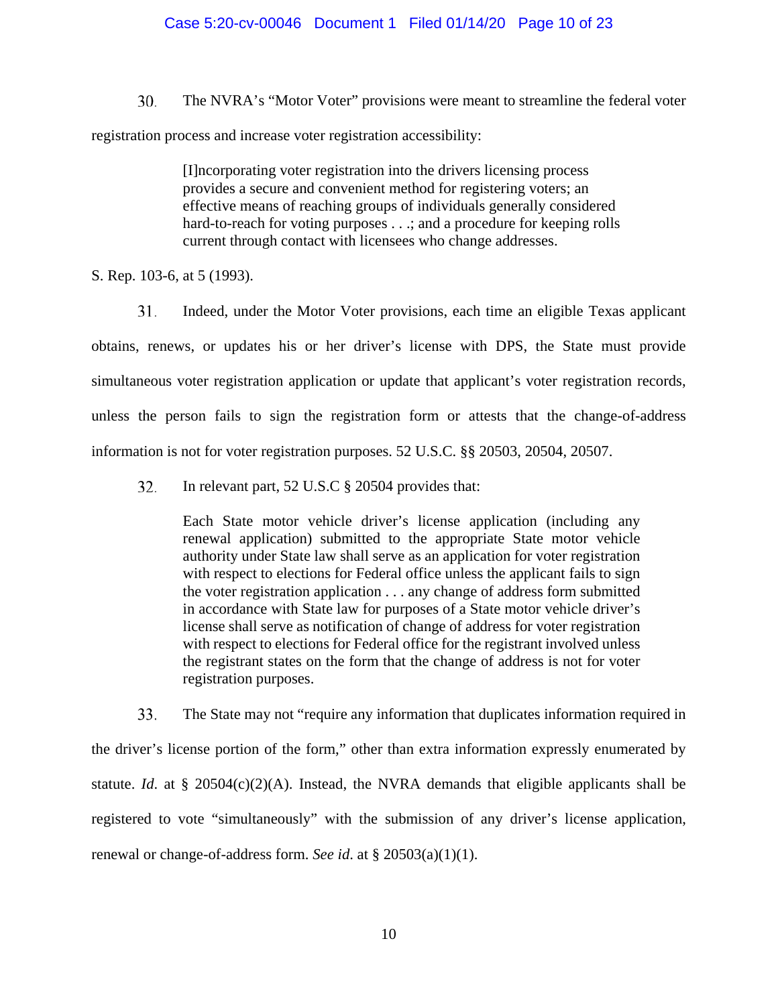## Case 5:20-cv-00046 Document 1 Filed 01/14/20 Page 10 of 23

30. The NVRA's "Motor Voter" provisions were meant to streamline the federal voter registration process and increase voter registration accessibility:

> [I]ncorporating voter registration into the drivers licensing process provides a secure and convenient method for registering voters; an effective means of reaching groups of individuals generally considered hard-to-reach for voting purposes . . .; and a procedure for keeping rolls current through contact with licensees who change addresses.

S. Rep. 103-6, at 5 (1993).

31. Indeed, under the Motor Voter provisions, each time an eligible Texas applicant obtains, renews, or updates his or her driver's license with DPS, the State must provide simultaneous voter registration application or update that applicant's voter registration records, unless the person fails to sign the registration form or attests that the change-of-address information is not for voter registration purposes. 52 U.S.C. §§ 20503, 20504, 20507.

32. In relevant part, 52 U.S.C § 20504 provides that:

> Each State motor vehicle driver's license application (including any renewal application) submitted to the appropriate State motor vehicle authority under State law shall serve as an application for voter registration with respect to elections for Federal office unless the applicant fails to sign the voter registration application . . . any change of address form submitted in accordance with State law for purposes of a State motor vehicle driver's license shall serve as notification of change of address for voter registration with respect to elections for Federal office for the registrant involved unless the registrant states on the form that the change of address is not for voter registration purposes.

33. The State may not "require any information that duplicates information required in the driver's license portion of the form," other than extra information expressly enumerated by statute. *Id.* at § 20504(c)(2)(A). Instead, the NVRA demands that eligible applicants shall be registered to vote "simultaneously" with the submission of any driver's license application, renewal or change-of-address form. *See id*. at § 20503(a)(1)(1).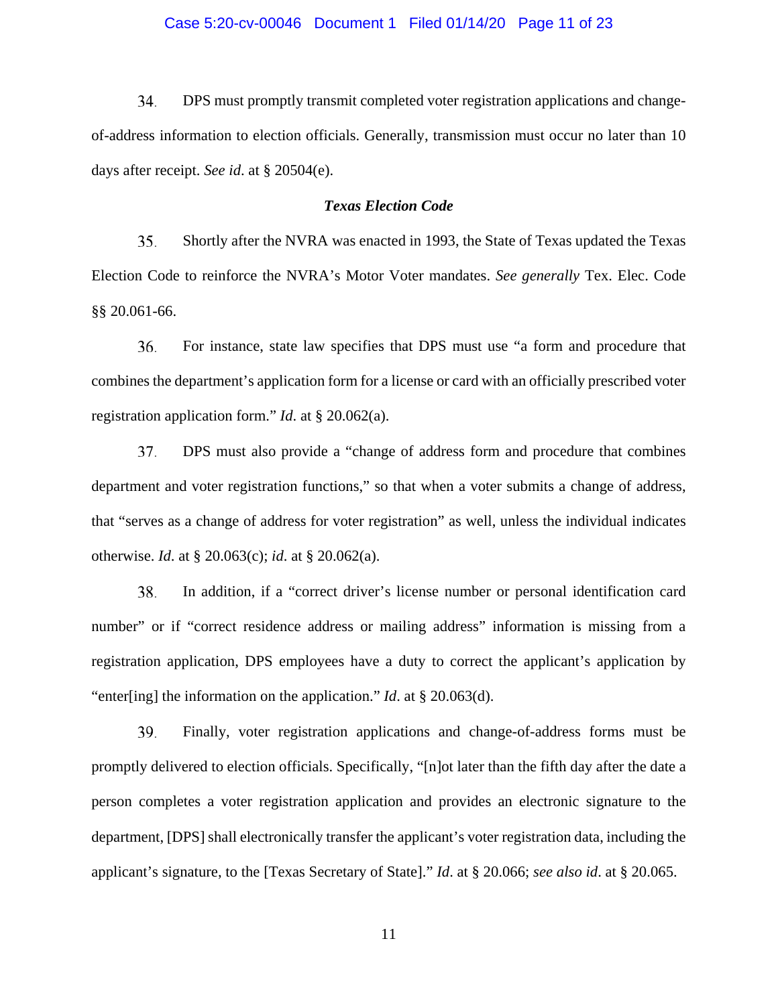## Case 5:20-cv-00046 Document 1 Filed 01/14/20 Page 11 of 23

34. DPS must promptly transmit completed voter registration applications and changeof-address information to election officials. Generally, transmission must occur no later than 10 days after receipt. *See id*. at § 20504(e).

### *Texas Election Code*

35. Shortly after the NVRA was enacted in 1993, the State of Texas updated the Texas Election Code to reinforce the NVRA's Motor Voter mandates. *See generally* Tex. Elec. Code §§ 20.061-66.

For instance, state law specifies that DPS must use "a form and procedure that 36. combines the department's application form for a license or card with an officially prescribed voter registration application form." *Id*. at § 20.062(a).

37. DPS must also provide a "change of address form and procedure that combines department and voter registration functions," so that when a voter submits a change of address, that "serves as a change of address for voter registration" as well, unless the individual indicates otherwise. *Id*. at § 20.063(c); *id*. at § 20.062(a).

38. In addition, if a "correct driver's license number or personal identification card number" or if "correct residence address or mailing address" information is missing from a registration application, DPS employees have a duty to correct the applicant's application by "enter[ing] the information on the application." *Id*. at § 20.063(d).

39. Finally, voter registration applications and change-of-address forms must be promptly delivered to election officials. Specifically, "[n]ot later than the fifth day after the date a person completes a voter registration application and provides an electronic signature to the department, [DPS] shall electronically transfer the applicant's voter registration data, including the applicant's signature, to the [Texas Secretary of State]." *Id*. at § 20.066; *see also id*. at § 20.065.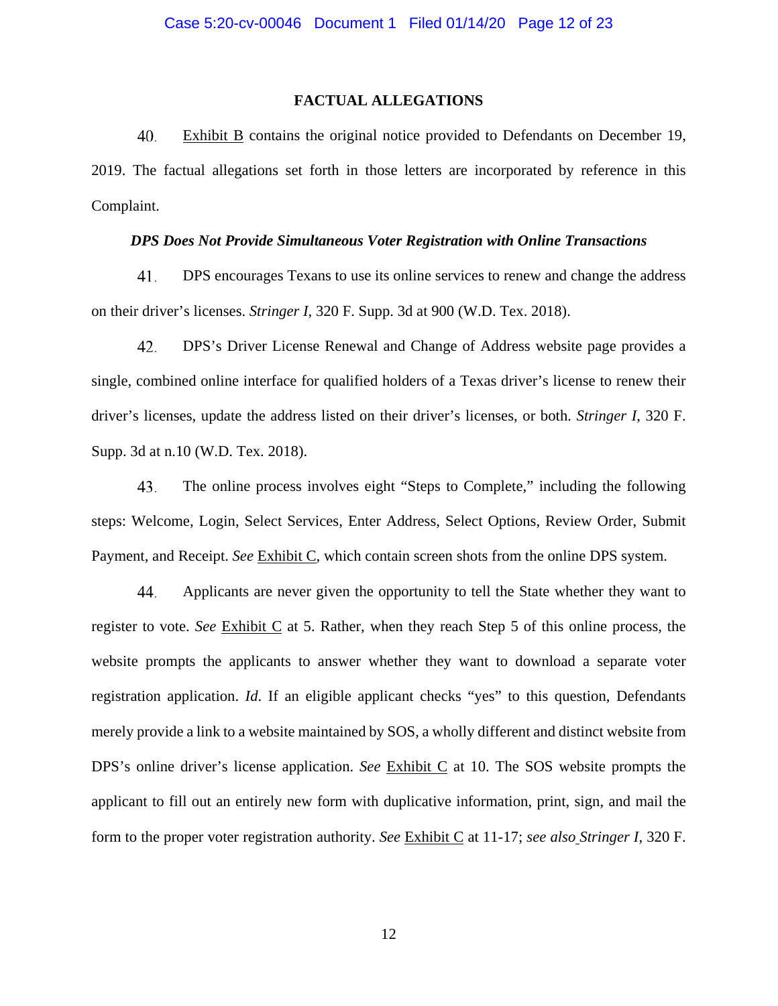## **FACTUAL ALLEGATIONS**

40. Exhibit B contains the original notice provided to Defendants on December 19, 2019. The factual allegations set forth in those letters are incorporated by reference in this Complaint.

## *DPS Does Not Provide Simultaneous Voter Registration with Online Transactions*

41. DPS encourages Texans to use its online services to renew and change the address on their driver's licenses. *Stringer I*, 320 F. Supp. 3d at 900 (W.D. Tex. 2018).

42. DPS's Driver License Renewal and Change of Address website page provides a single, combined online interface for qualified holders of a Texas driver's license to renew their driver's licenses, update the address listed on their driver's licenses, or both. *Stringer I*, 320 F. Supp. 3d at n.10 (W.D. Tex. 2018).

43. The online process involves eight "Steps to Complete," including the following steps: Welcome, Login, Select Services, Enter Address, Select Options, Review Order, Submit Payment, and Receipt. *See* Exhibit C, which contain screen shots from the online DPS system.

44. Applicants are never given the opportunity to tell the State whether they want to register to vote. *See* Exhibit C at 5. Rather, when they reach Step 5 of this online process, the website prompts the applicants to answer whether they want to download a separate voter registration application. *Id*. If an eligible applicant checks "yes" to this question, Defendants merely provide a link to a website maintained by SOS, a wholly different and distinct website from DPS's online driver's license application. *See* Exhibit C at 10. The SOS website prompts the applicant to fill out an entirely new form with duplicative information, print, sign, and mail the form to the proper voter registration authority. *See* Exhibit C at 11-17; *see also Stringer I*, 320 F.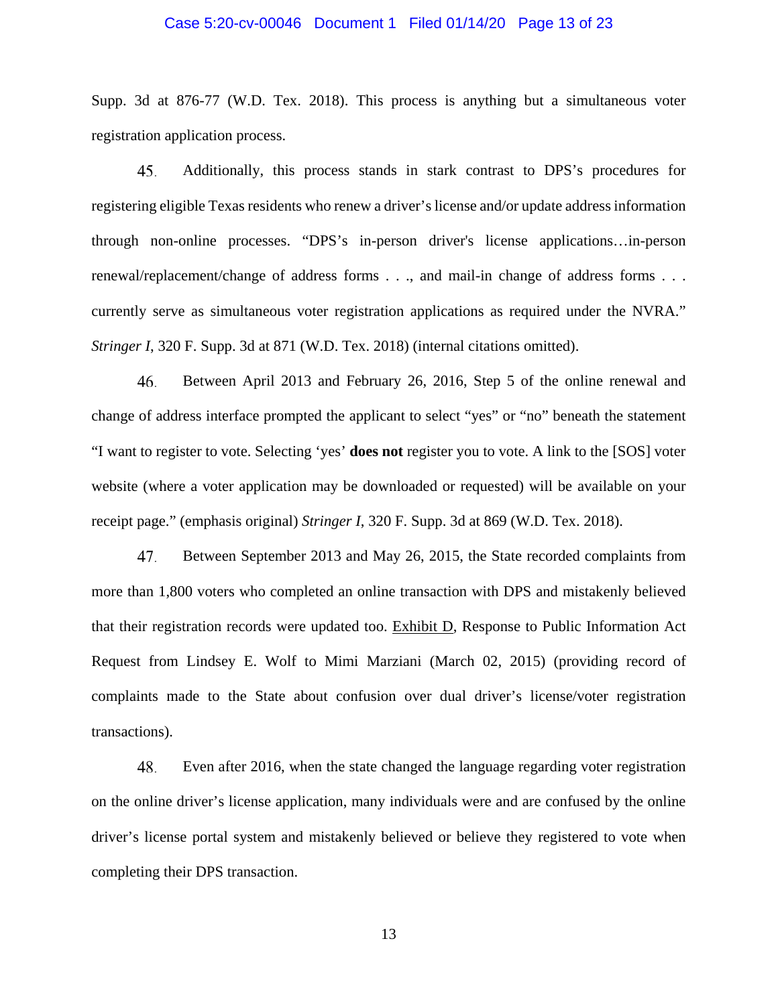### Case 5:20-cv-00046 Document 1 Filed 01/14/20 Page 13 of 23

Supp. 3d at 876-77 (W.D. Tex. 2018). This process is anything but a simultaneous voter registration application process.

45. Additionally, this process stands in stark contrast to DPS's procedures for registering eligible Texas residents who renew a driver's license and/or update address information through non-online processes. "DPS's in-person driver's license applications…in-person renewal/replacement/change of address forms . . ., and mail-in change of address forms . . . currently serve as simultaneous voter registration applications as required under the NVRA." *Stringer I*, 320 F. Supp. 3d at 871 (W.D. Tex. 2018) (internal citations omitted).

46. Between April 2013 and February 26, 2016, Step 5 of the online renewal and change of address interface prompted the applicant to select "yes" or "no" beneath the statement "I want to register to vote. Selecting 'yes' **does not** register you to vote. A link to the [SOS] voter website (where a voter application may be downloaded or requested) will be available on your receipt page." (emphasis original) *Stringer I*, 320 F. Supp. 3d at 869 (W.D. Tex. 2018).

47. Between September 2013 and May 26, 2015, the State recorded complaints from more than 1,800 voters who completed an online transaction with DPS and mistakenly believed that their registration records were updated too. Exhibit D, Response to Public Information Act Request from Lindsey E. Wolf to Mimi Marziani (March 02, 2015) (providing record of complaints made to the State about confusion over dual driver's license/voter registration transactions).

48. Even after 2016, when the state changed the language regarding voter registration on the online driver's license application, many individuals were and are confused by the online driver's license portal system and mistakenly believed or believe they registered to vote when completing their DPS transaction.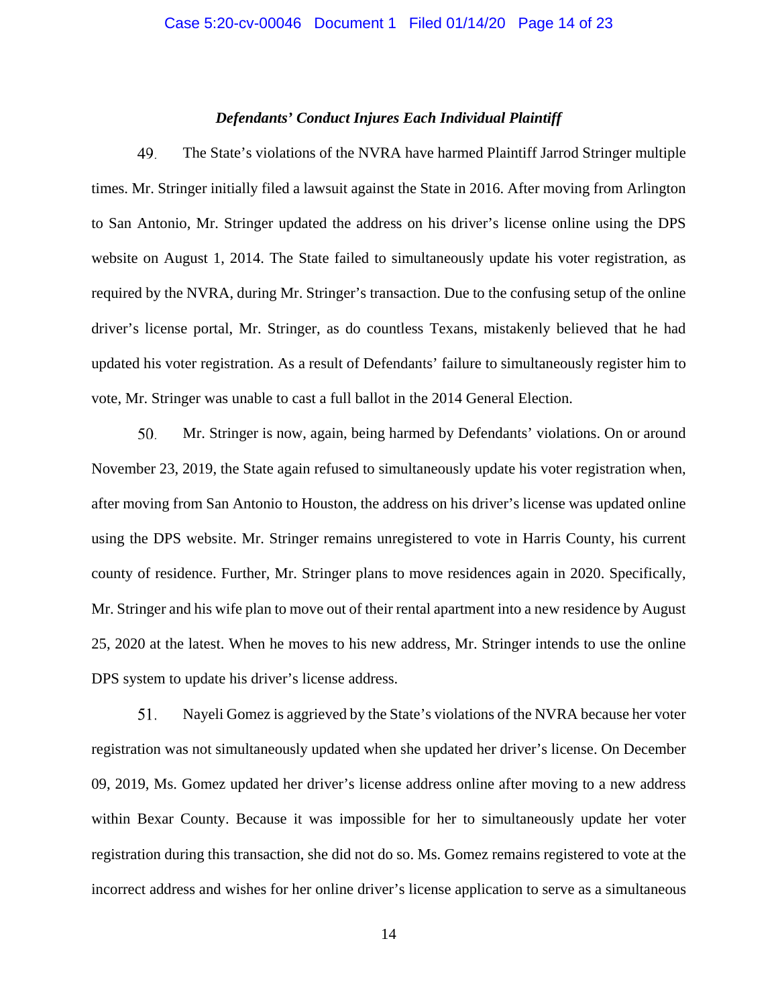### *Defendants' Conduct Injures Each Individual Plaintiff*

49. The State's violations of the NVRA have harmed Plaintiff Jarrod Stringer multiple times. Mr. Stringer initially filed a lawsuit against the State in 2016. After moving from Arlington to San Antonio, Mr. Stringer updated the address on his driver's license online using the DPS website on August 1, 2014. The State failed to simultaneously update his voter registration, as required by the NVRA, during Mr. Stringer's transaction. Due to the confusing setup of the online driver's license portal, Mr. Stringer, as do countless Texans, mistakenly believed that he had updated his voter registration. As a result of Defendants' failure to simultaneously register him to vote, Mr. Stringer was unable to cast a full ballot in the 2014 General Election.

50. Mr. Stringer is now, again, being harmed by Defendants' violations. On or around November 23, 2019, the State again refused to simultaneously update his voter registration when, after moving from San Antonio to Houston, the address on his driver's license was updated online using the DPS website. Mr. Stringer remains unregistered to vote in Harris County, his current county of residence. Further, Mr. Stringer plans to move residences again in 2020. Specifically, Mr. Stringer and his wife plan to move out of their rental apartment into a new residence by August 25, 2020 at the latest. When he moves to his new address, Mr. Stringer intends to use the online DPS system to update his driver's license address.

51. Nayeli Gomez is aggrieved by the State's violations of the NVRA because her voter registration was not simultaneously updated when she updated her driver's license. On December 09, 2019, Ms. Gomez updated her driver's license address online after moving to a new address within Bexar County. Because it was impossible for her to simultaneously update her voter registration during this transaction, she did not do so. Ms. Gomez remains registered to vote at the incorrect address and wishes for her online driver's license application to serve as a simultaneous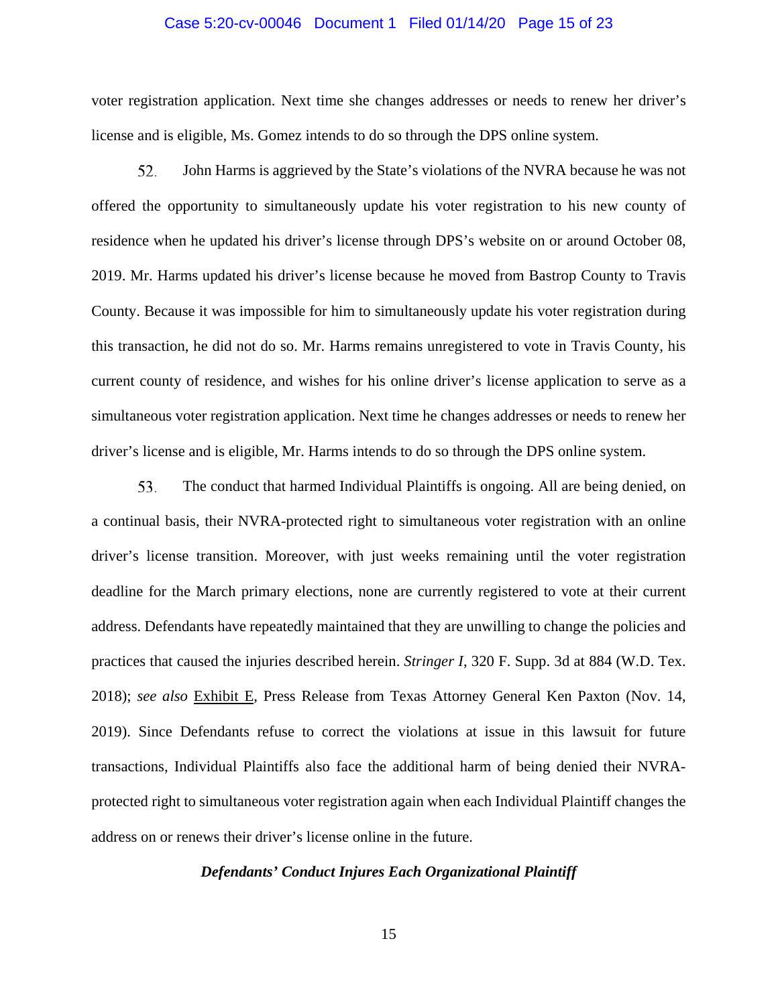### Case 5:20-cv-00046 Document 1 Filed 01/14/20 Page 15 of 23

voter registration application. Next time she changes addresses or needs to renew her driver's license and is eligible, Ms. Gomez intends to do so through the DPS online system.

52. John Harms is aggrieved by the State's violations of the NVRA because he was not offered the opportunity to simultaneously update his voter registration to his new county of residence when he updated his driver's license through DPS's website on or around October 08, 2019. Mr. Harms updated his driver's license because he moved from Bastrop County to Travis County. Because it was impossible for him to simultaneously update his voter registration during this transaction, he did not do so. Mr. Harms remains unregistered to vote in Travis County, his current county of residence, and wishes for his online driver's license application to serve as a simultaneous voter registration application. Next time he changes addresses or needs to renew her driver's license and is eligible, Mr. Harms intends to do so through the DPS online system.

53. The conduct that harmed Individual Plaintiffs is ongoing. All are being denied, on a continual basis, their NVRA-protected right to simultaneous voter registration with an online driver's license transition. Moreover, with just weeks remaining until the voter registration deadline for the March primary elections, none are currently registered to vote at their current address. Defendants have repeatedly maintained that they are unwilling to change the policies and practices that caused the injuries described herein. *Stringer I*, 320 F. Supp. 3d at 884 (W.D. Tex. 2018); *see also* Exhibit E, Press Release from Texas Attorney General Ken Paxton (Nov. 14, 2019). Since Defendants refuse to correct the violations at issue in this lawsuit for future transactions, Individual Plaintiffs also face the additional harm of being denied their NVRAprotected right to simultaneous voter registration again when each Individual Plaintiff changes the address on or renews their driver's license online in the future.

#### *Defendants' Conduct Injures Each Organizational Plaintiff*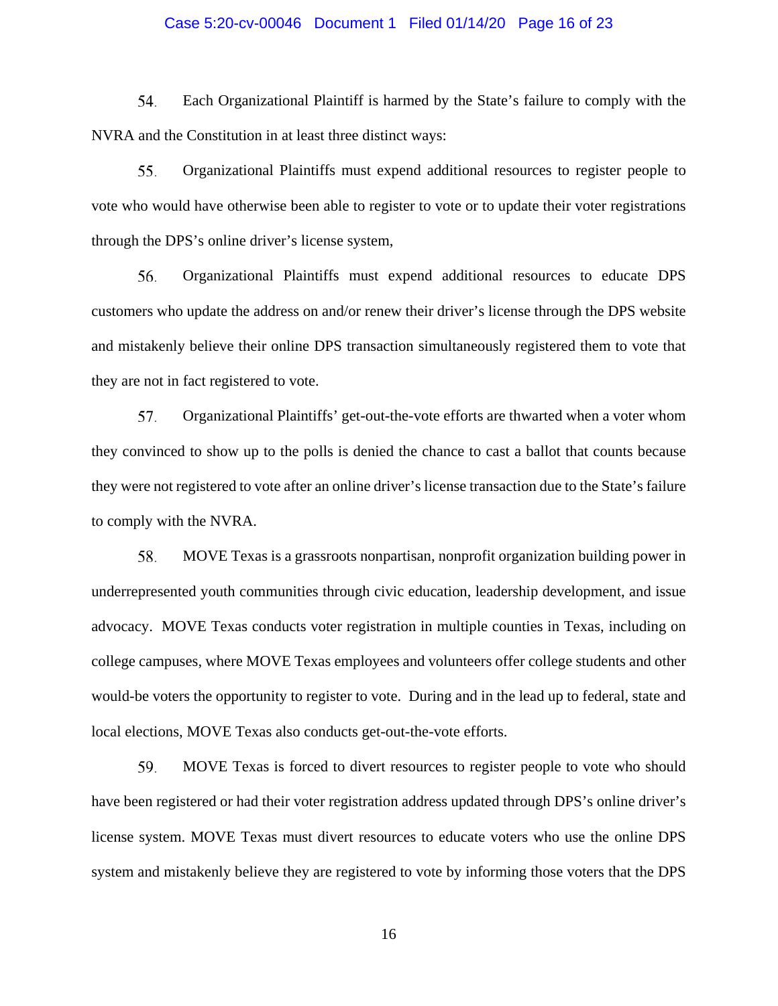### Case 5:20-cv-00046 Document 1 Filed 01/14/20 Page 16 of 23

54. Each Organizational Plaintiff is harmed by the State's failure to comply with the NVRA and the Constitution in at least three distinct ways:

Organizational Plaintiffs must expend additional resources to register people to 55. vote who would have otherwise been able to register to vote or to update their voter registrations through the DPS's online driver's license system,

56. Organizational Plaintiffs must expend additional resources to educate DPS customers who update the address on and/or renew their driver's license through the DPS website and mistakenly believe their online DPS transaction simultaneously registered them to vote that they are not in fact registered to vote.

57. Organizational Plaintiffs' get-out-the-vote efforts are thwarted when a voter whom they convinced to show up to the polls is denied the chance to cast a ballot that counts because they were not registered to vote after an online driver's license transaction due to the State's failure to comply with the NVRA.

58. MOVE Texas is a grassroots nonpartisan, nonprofit organization building power in underrepresented youth communities through civic education, leadership development, and issue advocacy. MOVE Texas conducts voter registration in multiple counties in Texas, including on college campuses, where MOVE Texas employees and volunteers offer college students and other would-be voters the opportunity to register to vote. During and in the lead up to federal, state and local elections, MOVE Texas also conducts get-out-the-vote efforts.

59. MOVE Texas is forced to divert resources to register people to vote who should have been registered or had their voter registration address updated through DPS's online driver's license system. MOVE Texas must divert resources to educate voters who use the online DPS system and mistakenly believe they are registered to vote by informing those voters that the DPS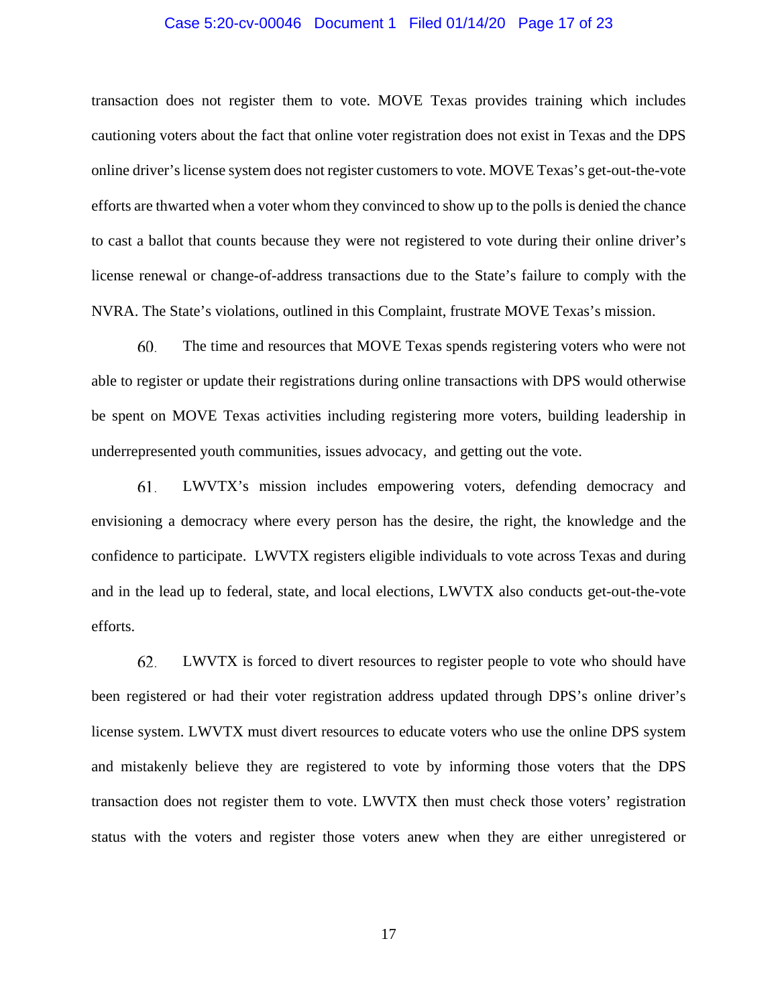### Case 5:20-cv-00046 Document 1 Filed 01/14/20 Page 17 of 23

transaction does not register them to vote. MOVE Texas provides training which includes cautioning voters about the fact that online voter registration does not exist in Texas and the DPS online driver's license system does not register customers to vote. MOVE Texas's get-out-the-vote efforts are thwarted when a voter whom they convinced to show up to the polls is denied the chance to cast a ballot that counts because they were not registered to vote during their online driver's license renewal or change-of-address transactions due to the State's failure to comply with the NVRA. The State's violations, outlined in this Complaint, frustrate MOVE Texas's mission.

60. The time and resources that MOVE Texas spends registering voters who were not able to register or update their registrations during online transactions with DPS would otherwise be spent on MOVE Texas activities including registering more voters, building leadership in underrepresented youth communities, issues advocacy, and getting out the vote.

61. LWVTX's mission includes empowering voters, defending democracy and envisioning a democracy where every person has the desire, the right, the knowledge and the confidence to participate. LWVTX registers eligible individuals to vote across Texas and during and in the lead up to federal, state, and local elections, LWVTX also conducts get-out-the-vote efforts.

62. LWVTX is forced to divert resources to register people to vote who should have been registered or had their voter registration address updated through DPS's online driver's license system. LWVTX must divert resources to educate voters who use the online DPS system and mistakenly believe they are registered to vote by informing those voters that the DPS transaction does not register them to vote. LWVTX then must check those voters' registration status with the voters and register those voters anew when they are either unregistered or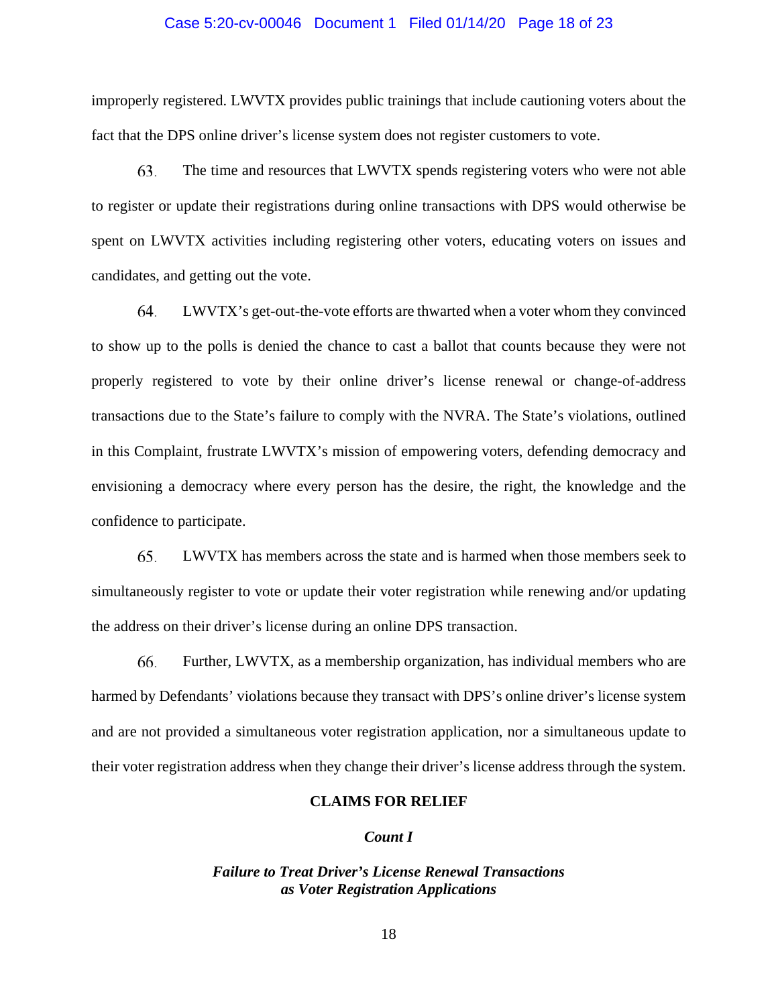#### Case 5:20-cv-00046 Document 1 Filed 01/14/20 Page 18 of 23

improperly registered. LWVTX provides public trainings that include cautioning voters about the fact that the DPS online driver's license system does not register customers to vote.

63. The time and resources that LWVTX spends registering voters who were not able to register or update their registrations during online transactions with DPS would otherwise be spent on LWVTX activities including registering other voters, educating voters on issues and candidates, and getting out the vote.

64. LWVTX's get-out-the-vote efforts are thwarted when a voter whom they convinced to show up to the polls is denied the chance to cast a ballot that counts because they were not properly registered to vote by their online driver's license renewal or change-of-address transactions due to the State's failure to comply with the NVRA. The State's violations, outlined in this Complaint, frustrate LWVTX's mission of empowering voters, defending democracy and envisioning a democracy where every person has the desire, the right, the knowledge and the confidence to participate.

65. LWVTX has members across the state and is harmed when those members seek to simultaneously register to vote or update their voter registration while renewing and/or updating the address on their driver's license during an online DPS transaction.

66. Further, LWVTX, as a membership organization, has individual members who are harmed by Defendants' violations because they transact with DPS's online driver's license system and are not provided a simultaneous voter registration application, nor a simultaneous update to their voter registration address when they change their driver's license address through the system.

#### **CLAIMS FOR RELIEF**

## *Count I*

# *Failure to Treat Driver's License Renewal Transactions as Voter Registration Applications*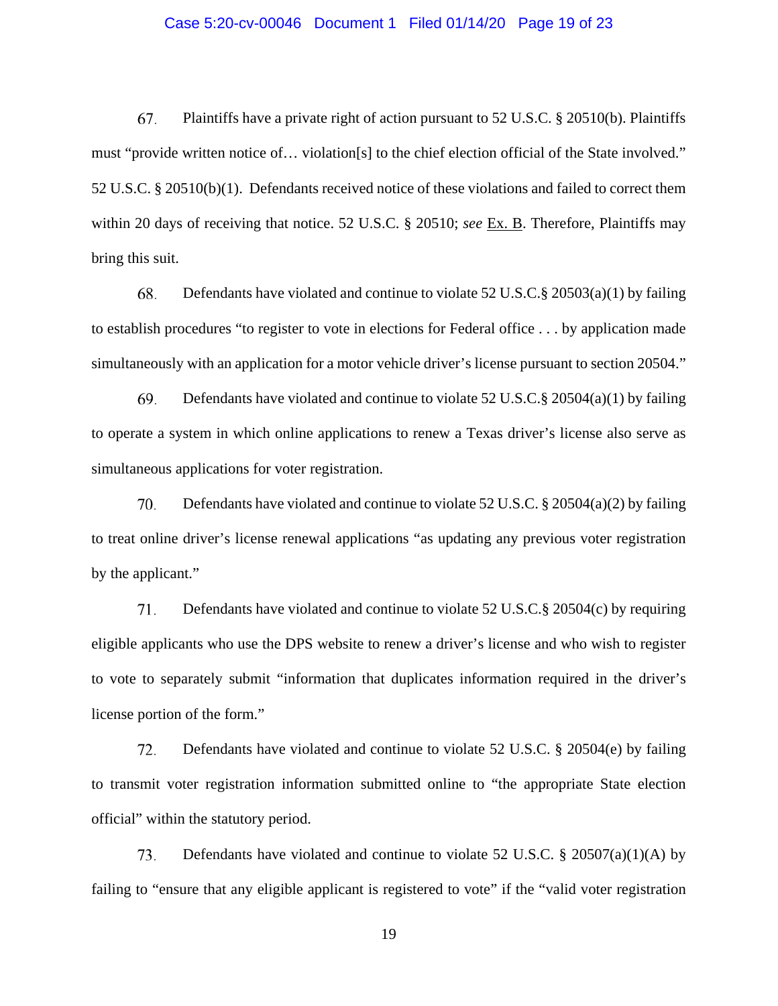## Case 5:20-cv-00046 Document 1 Filed 01/14/20 Page 19 of 23

67. Plaintiffs have a private right of action pursuant to 52 U.S.C. § 20510(b). Plaintiffs must "provide written notice of… violation[s] to the chief election official of the State involved." 52 U.S.C. § 20510(b)(1). Defendants received notice of these violations and failed to correct them within 20 days of receiving that notice. 52 U.S.C. § 20510; *see* Ex. B. Therefore, Plaintiffs may bring this suit.

68. Defendants have violated and continue to violate 52 U.S.C.§ 20503(a)(1) by failing to establish procedures "to register to vote in elections for Federal office . . . by application made simultaneously with an application for a motor vehicle driver's license pursuant to section 20504."

69. Defendants have violated and continue to violate 52 U.S.C.§ 20504(a)(1) by failing to operate a system in which online applications to renew a Texas driver's license also serve as simultaneous applications for voter registration.

70. Defendants have violated and continue to violate 52 U.S.C. § 20504(a)(2) by failing to treat online driver's license renewal applications "as updating any previous voter registration by the applicant."

71. Defendants have violated and continue to violate 52 U.S.C.§ 20504(c) by requiring eligible applicants who use the DPS website to renew a driver's license and who wish to register to vote to separately submit "information that duplicates information required in the driver's license portion of the form."

72. Defendants have violated and continue to violate 52 U.S.C. § 20504(e) by failing to transmit voter registration information submitted online to "the appropriate State election official" within the statutory period.

73. Defendants have violated and continue to violate 52 U.S.C.  $\S$  20507(a)(1)(A) by failing to "ensure that any eligible applicant is registered to vote" if the "valid voter registration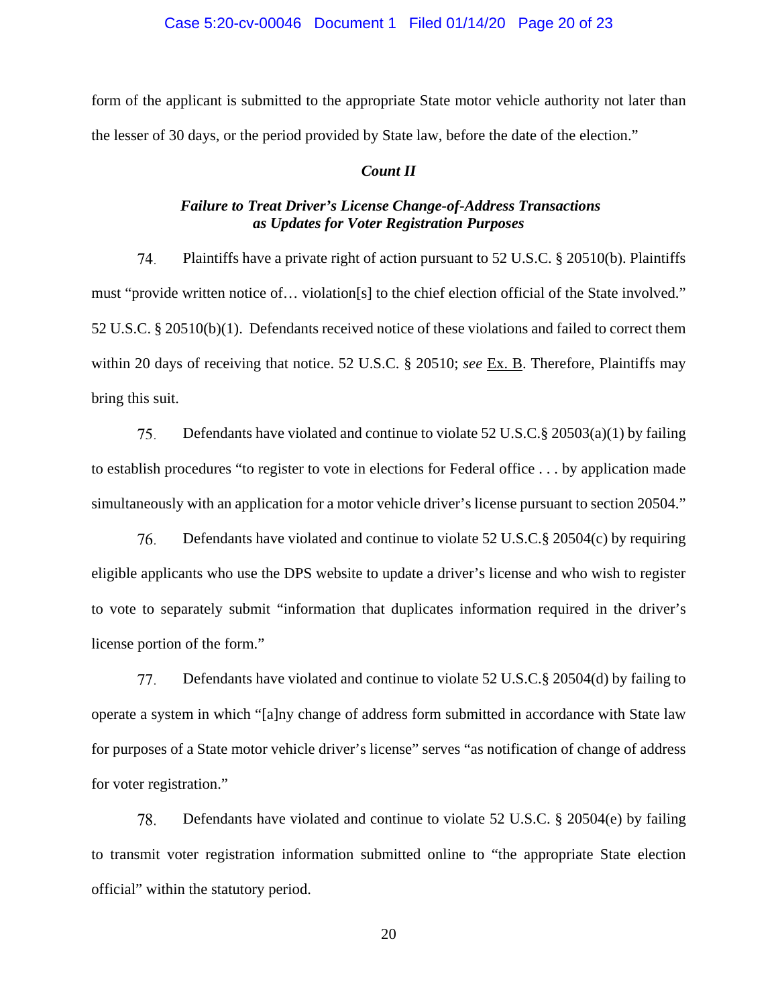#### Case 5:20-cv-00046 Document 1 Filed 01/14/20 Page 20 of 23

form of the applicant is submitted to the appropriate State motor vehicle authority not later than the lesser of 30 days, or the period provided by State law, before the date of the election."

### *Count II*

# *Failure to Treat Driver's License Change-of-Address Transactions as Updates for Voter Registration Purposes*

Plaintiffs have a private right of action pursuant to 52 U.S.C. § 20510(b). Plaintiffs 74. must "provide written notice of… violation[s] to the chief election official of the State involved." 52 U.S.C. § 20510(b)(1). Defendants received notice of these violations and failed to correct them within 20 days of receiving that notice. 52 U.S.C. § 20510; *see* Ex. B. Therefore, Plaintiffs may bring this suit.

75. Defendants have violated and continue to violate 52 U.S.C.§ 20503(a)(1) by failing to establish procedures "to register to vote in elections for Federal office . . . by application made simultaneously with an application for a motor vehicle driver's license pursuant to section 20504."

76. Defendants have violated and continue to violate 52 U.S.C.§ 20504(c) by requiring eligible applicants who use the DPS website to update a driver's license and who wish to register to vote to separately submit "information that duplicates information required in the driver's license portion of the form."

77. Defendants have violated and continue to violate 52 U.S.C.§ 20504(d) by failing to operate a system in which "[a]ny change of address form submitted in accordance with State law for purposes of a State motor vehicle driver's license" serves "as notification of change of address for voter registration."

78. Defendants have violated and continue to violate 52 U.S.C. § 20504(e) by failing to transmit voter registration information submitted online to "the appropriate State election official" within the statutory period.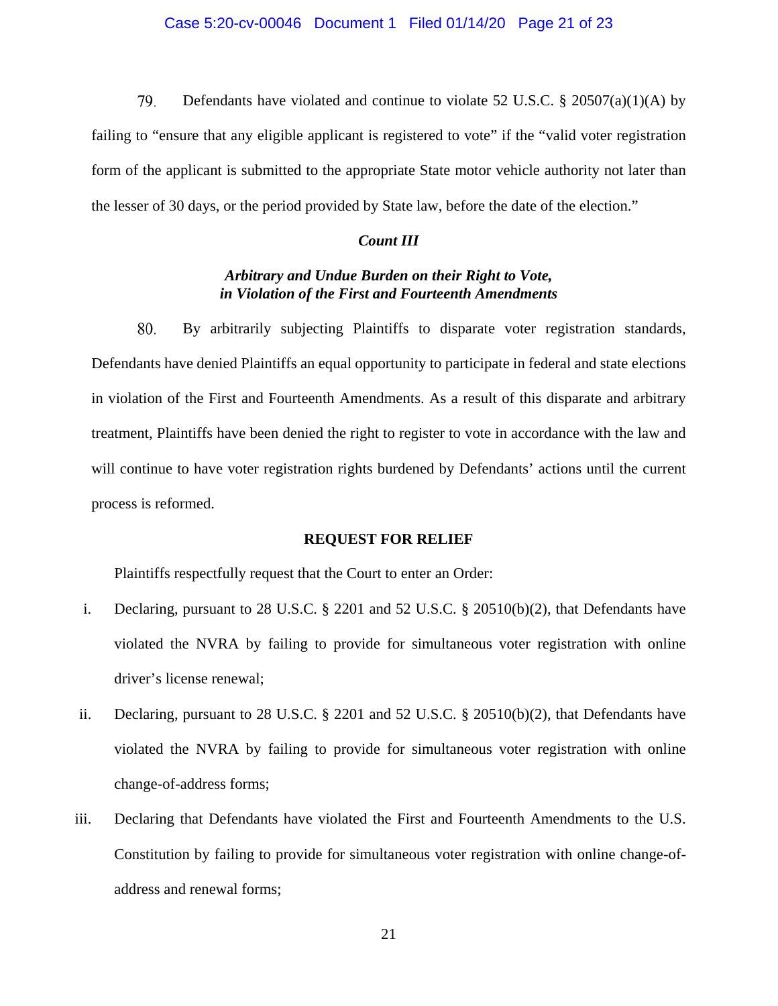79. Defendants have violated and continue to violate 52 U.S.C. § 20507(a)(1)(A) by failing to "ensure that any eligible applicant is registered to vote" if the "valid voter registration form of the applicant is submitted to the appropriate State motor vehicle authority not later than the lesser of 30 days, or the period provided by State law, before the date of the election."

### *Count III*

# *Arbitrary and Undue Burden on their Right to Vote, in Violation of the First and Fourteenth Amendments*

80. By arbitrarily subjecting Plaintiffs to disparate voter registration standards, Defendants have denied Plaintiffs an equal opportunity to participate in federal and state elections in violation of the First and Fourteenth Amendments. As a result of this disparate and arbitrary treatment, Plaintiffs have been denied the right to register to vote in accordance with the law and will continue to have voter registration rights burdened by Defendants' actions until the current process is reformed.

# **REQUEST FOR RELIEF**

Plaintiffs respectfully request that the Court to enter an Order:

- i. Declaring, pursuant to 28 U.S.C. § 2201 and 52 U.S.C. § 20510(b)(2), that Defendants have violated the NVRA by failing to provide for simultaneous voter registration with online driver's license renewal;
- ii. Declaring, pursuant to 28 U.S.C. § 2201 and 52 U.S.C. § 20510(b)(2), that Defendants have violated the NVRA by failing to provide for simultaneous voter registration with online change-of-address forms;
- iii. Declaring that Defendants have violated the First and Fourteenth Amendments to the U.S. Constitution by failing to provide for simultaneous voter registration with online change-ofaddress and renewal forms;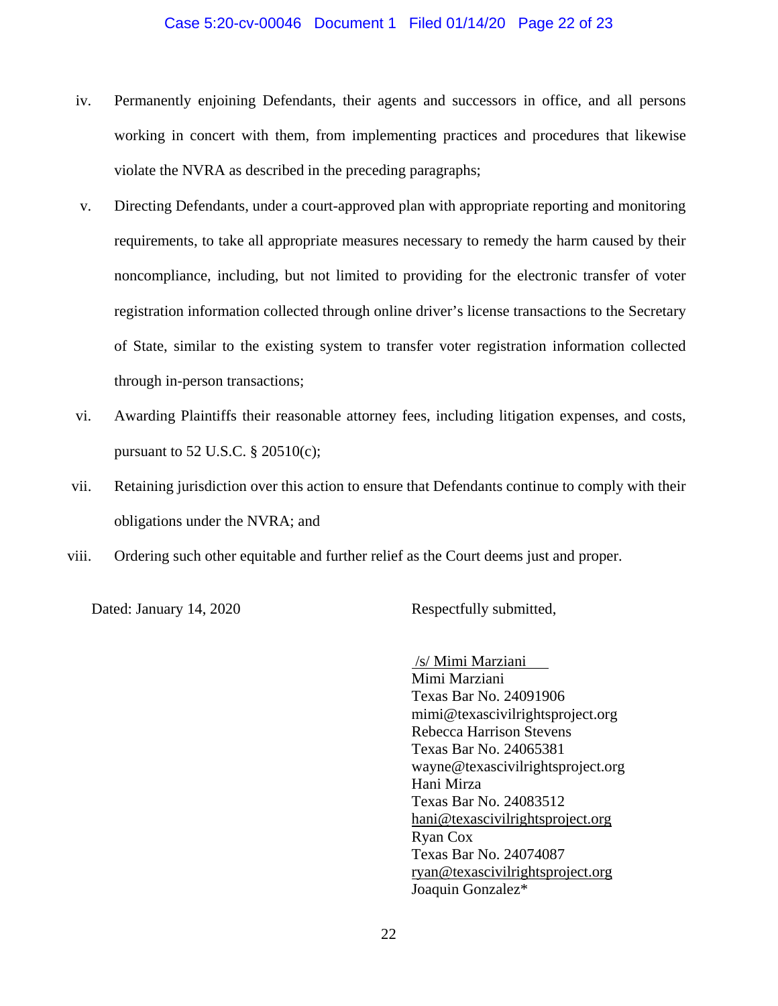## Case 5:20-cv-00046 Document 1 Filed 01/14/20 Page 22 of 23

- iv. Permanently enjoining Defendants, their agents and successors in office, and all persons working in concert with them, from implementing practices and procedures that likewise violate the NVRA as described in the preceding paragraphs;
- v. Directing Defendants, under a court-approved plan with appropriate reporting and monitoring requirements, to take all appropriate measures necessary to remedy the harm caused by their noncompliance, including, but not limited to providing for the electronic transfer of voter registration information collected through online driver's license transactions to the Secretary of State, similar to the existing system to transfer voter registration information collected through in-person transactions;
- vi. Awarding Plaintiffs their reasonable attorney fees, including litigation expenses, and costs, pursuant to 52 U.S.C. § 20510(c);
- vii. Retaining jurisdiction over this action to ensure that Defendants continue to comply with their obligations under the NVRA; and
- viii. Ordering such other equitable and further relief as the Court deems just and proper.

Dated: January 14, 2020 Respectfully submitted,

 /s/ Mimi Marziani Mimi Marziani Texas Bar No. 24091906 mimi@texascivilrightsproject.org Rebecca Harrison Stevens Texas Bar No. 24065381 wayne@texascivilrightsproject.org Hani Mirza Texas Bar No. 24083512 hani@texascivilrightsproject.org Ryan Cox Texas Bar No. 24074087 ryan@texascivilrightsproject.org Joaquin Gonzalez\*